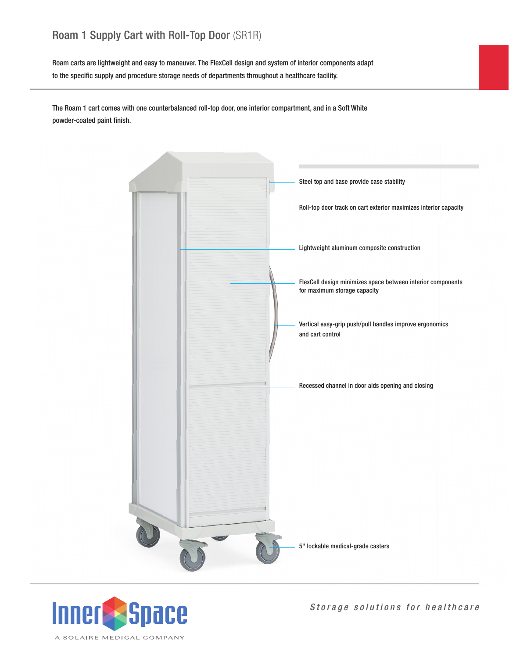## Roam 1 Supply Cart with Roll-Top Door (SR1R)

Roam carts are lightweight and easy to maneuver. The FlexCell design and system of interior components adapt to the specific supply and procedure storage needs of departments throughout a healthcare facility.

The Roam 1 cart comes with one counterbalanced roll-top door, one interior compartment, and in a Soft White powder-coated paint finish.





*Storage solutions for healthcare*